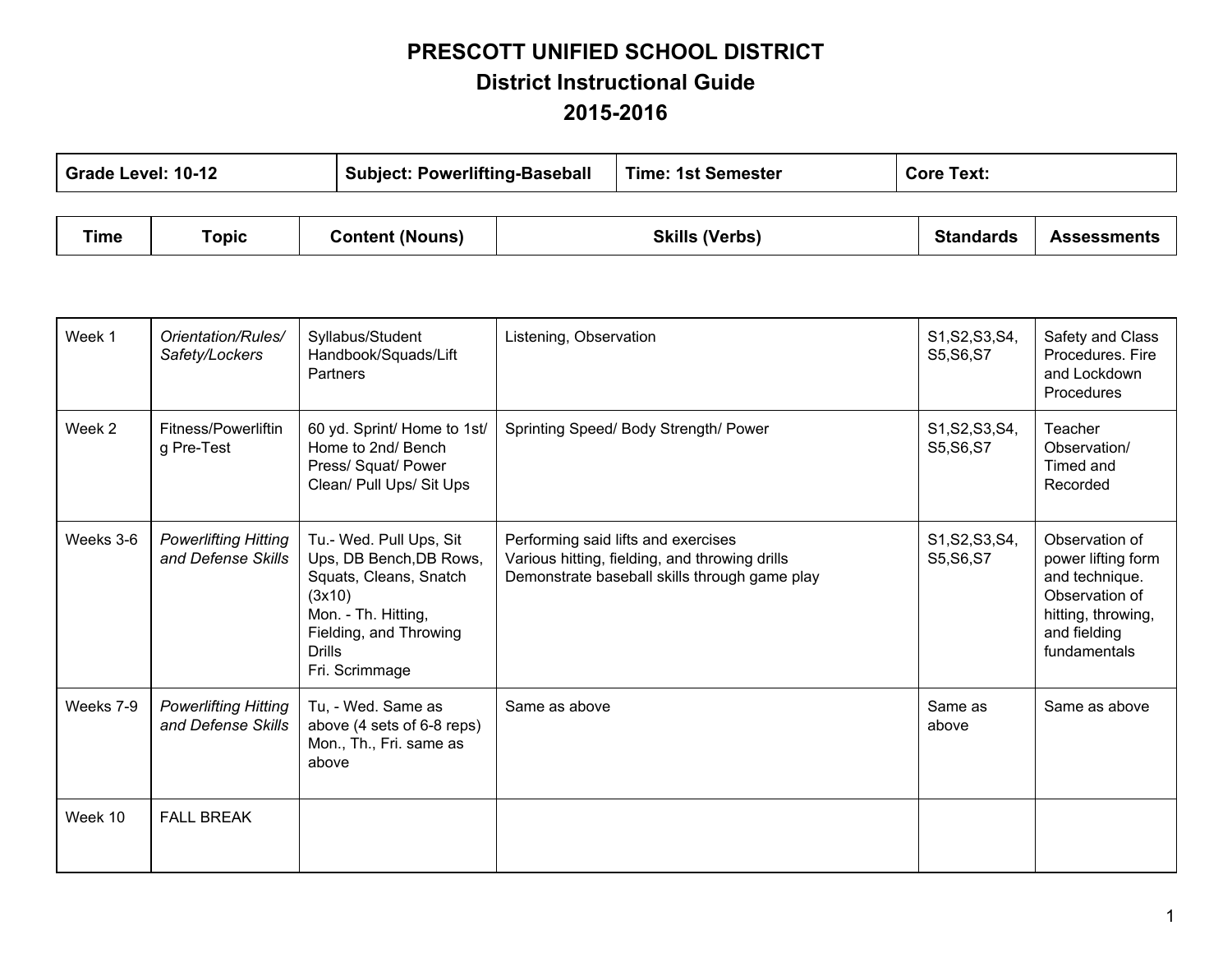## **PRESCOTT UNIFIED SCHOOL DISTRICT District Instructional Guide 20152016**

| Grade Level: 10-12 |       |                        | <b>Subject: Powerlifting-Baseball</b> |                       | <b>Time: 1st Semester</b> |                  | <b>Core Text:</b>  |  |
|--------------------|-------|------------------------|---------------------------------------|-----------------------|---------------------------|------------------|--------------------|--|
|                    |       |                        |                                       |                       |                           |                  |                    |  |
| Time               | Topic | <b>Content (Nouns)</b> |                                       | <b>Skills (Verbs)</b> |                           | <b>Standards</b> | <b>Assessments</b> |  |

| Week 1    | Orientation/Rules/<br>Safety/Lockers              | Syllabus/Student<br>Handbook/Squads/Lift<br><b>Partners</b>                                                                                                                | Listening, Observation                                                                                                                 | S1, S2, S3, S4,<br>S5, S6, S7 | Safety and Class<br>Procedures. Fire<br>and Lockdown<br>Procedures                                                             |
|-----------|---------------------------------------------------|----------------------------------------------------------------------------------------------------------------------------------------------------------------------------|----------------------------------------------------------------------------------------------------------------------------------------|-------------------------------|--------------------------------------------------------------------------------------------------------------------------------|
| Week 2    | Fitness/Powerliftin<br>g Pre-Test                 | 60 yd. Sprint/ Home to 1st/<br>Home to 2nd/ Bench<br>Press/ Squat/ Power<br>Clean/ Pull Ups/ Sit Ups                                                                       | Sprinting Speed/ Body Strength/ Power                                                                                                  | S1, S2, S3, S4,<br>S5, S6, S7 | Teacher<br>Observation/<br>Timed and<br>Recorded                                                                               |
| Weeks 3-6 | <b>Powerlifting Hitting</b><br>and Defense Skills | Tu.- Wed. Pull Ups, Sit<br>Ups, DB Bench, DB Rows,<br>Squats, Cleans, Snatch<br>(3x10)<br>Mon. - Th. Hitting,<br>Fielding, and Throwing<br><b>Drills</b><br>Fri. Scrimmage | Performing said lifts and exercises<br>Various hitting, fielding, and throwing drills<br>Demonstrate baseball skills through game play | S1, S2, S3, S4,<br>S5, S6, S7 | Observation of<br>power lifting form<br>and technique.<br>Observation of<br>hitting, throwing,<br>and fielding<br>fundamentals |
| Weeks 7-9 | <b>Powerlifting Hitting</b><br>and Defense Skills | Tu, - Wed. Same as<br>above (4 sets of 6-8 reps)<br>Mon., Th., Fri. same as<br>above                                                                                       | Same as above                                                                                                                          | Same as<br>above              | Same as above                                                                                                                  |
| Week 10   | <b>FALL BREAK</b>                                 |                                                                                                                                                                            |                                                                                                                                        |                               |                                                                                                                                |